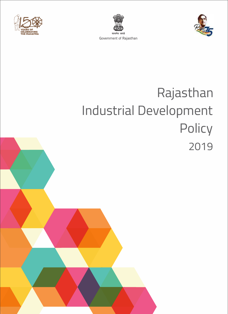





# Rajasthan Industrial Development Policy 2019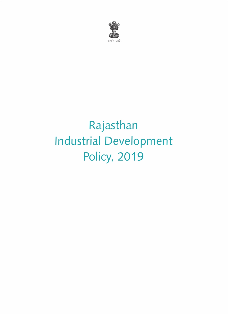

# Rajasthan Industrial Development Policy, 2019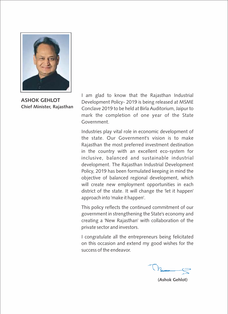

**ASHOK GEHLOT Chief Minister, Rajasthan**

I am glad to know that the Rajasthan Industrial Development Policy- 2019 is being released at MSME Conclave 2019 to be held at Birla Auditorium, Jaipur to mark the completion of one year of the State Government.

Industries play vital role in economic development of the state. Our Government's vision is to make Rajasthan the most preferred investment destination in the country with an excellent eco-system for inclusive, balanced and sustainable industrial development. The Rajasthan Industrial Development Policy, 2019 has been formulated keeping in mind the objective of balanced regional development, which will create new employment opportunities in each district of the state. It will change the 'let it happen' approach into 'make it happen'.

This policy reflects the continued commitment of our government in strengthening the State's economy and creating a 'New Rajasthan' with collaboration of the private sector and investors.

I congratulate all the entrepreneurs being felicitated on this occasion and extend my good wishes for the success of the endeavor.

**(Ashok Gehlot)**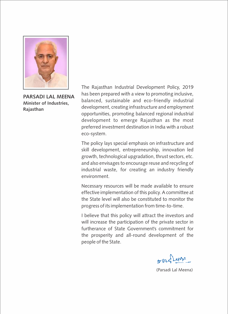

**PARSADI LAL MEENA Minister of Industries, Rajasthan**

The Rajasthan Industrial Development Policy, 2019 has been prepared with a view to promoting inclusive, balanced, sustainable and eco-friendly industrial development, creating infrastructure and employment opportunities, promoting balanced regional industrial development to emerge Rajasthan as the most preferred investment destination in India with a robust eco-system.

The policy lays special emphasis on infrastructure and skill development, entrepreneurship, innovation led growth, technological upgradation, thrust sectors, etc. and also envisages to encourage reuse and recycling of industrial waste, for creating an industry friendly environment.

Necessary resources will be made available to ensure effective implementation of this policy. A committee at the State level will also be constituted to monitor the progress of its implementation from time-to-time.

I believe that this policy will attract the investors and will increase the participation of the private sector in furtherance of State Government's commitment for the prosperity and all-round development of the people of the State.

 $602$ 

(Parsadi Lal Meena)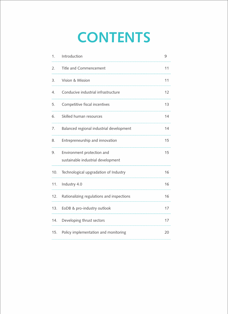# **CONTENTS**

| 1.  | Introduction                                                     | 9  |
|-----|------------------------------------------------------------------|----|
| 2.  | Title and Commencement                                           | 11 |
| 3.  | Vision & Mission                                                 | 11 |
| 4.  | Conducive industrial infrastructure                              | 12 |
| 5.  | Competitive fiscal incentives                                    | 13 |
| 6.  | Skilled human resources                                          | 14 |
| 7.  | Balanced regional industrial development                         | 14 |
| 8.  | Entrepreneurship and innovation                                  | 15 |
| 9.  | Environment protection and<br>sustainable industrial development | 15 |
| 10. | Technological upgradation of Industry                            | 16 |
| 11. | Industry 4.0                                                     | 16 |
| 12. | Rationalizing regulations and inspections                        | 16 |
| 13. | EoDB & pro-industry outlook                                      | 17 |
| 14. | Developing thrust sectors                                        | 17 |
| 15. | Policy implementation and monitoring                             | 20 |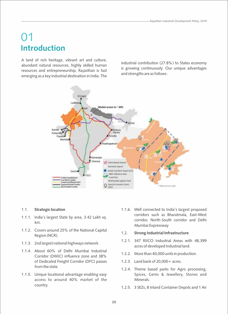# 01 **Introduction**

A land of rich heritage, vibrant art and culture, abundant natural resources, highly skilled human resources and entrepreneurship, Rajasthan is fast emerging as a key industrial destination in India. The

industrial contribution (27.8%) to States economy is growing continuously. Our unique advantages and strengths are as follows:



### 1.1. **Strategic location**

- 1.1.1. India's largest State by area, 3.42 Lakh sq. km.
- 1.1.2. Covers around 25% of the National Capital Region (NCR).
- 1.1.3. 2nd largest national highways network.
- 1.1.4. About 60% of Delhi Mumbai Industrial Corridor (DMIC) influence zone and 38% of Dedicated Freight Corridor (DFC) passes from the state.
- 1.1.5. Unique locational advantage enabling easy access to around 40% market of the country.

1.1.6. Well connected to India's largest proposed corridors such as Bharatmala, East-West corridor, North-South corridor and Delhi Mumbai Expressway

#### 1.2. **Strong Industrial Infrastructure**

- 1.2.1. 347 RIICO Industrial Areas with 48,399 acres of developed Industrial land.
- 1.2.2. More than 40,000 units in production.
- 1.2.3. Land bank of 20,000+ acres.
- 1.2.4. Theme based parks for Agro processing, Spices, Gems & Jewellery, Stones and Minerals.
- 1.2.5. 3 SEZs, 8 Inland Container Depots and 1 Air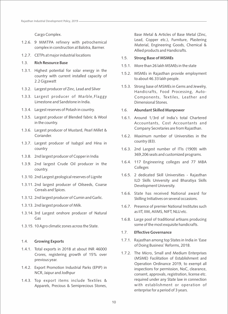Cargo Complex.

- 1.2.6. 9 MMTPA refinery with petrochemical complex in construction at Balotra, Barmer.
- 1.2.7. CETPs at major industrial locations

### 1.3. **Rich Resource Base**

- 1.3.1. Highest potential for solar energy in the country with current installed capacity of 2.2 Gigawatt
- 1.3.2. Largest producer of Zinc, Lead and Silver
- 1.3.3. Largest producer of Marble,Flaggy Limestone and Sandstone in India.
- 1.3.4. Largest reserves of Potash in country.
- 1.3.5. Largest producer of Blended fabric & Wool in the country.
- 1.3.6. Largest producer of Mustard, Pearl Millet & Coriander.
- 1.3.7. Largest producer of Isabgol and Hina in country
- 1.3.8. 2nd largest producer of Copper in India
- 1.3.9. 2nd largest Crude Oil producer in the country.
- 1.3.10. 2nd Largest geological reserves of Lignite
- 1.3.11. 2nd largest producer of Oilseeds, Coarse Cereals and Spices.
- 1.3.12. 2nd largest producer of Cumin and Garlic.
- 1.3.13. 2nd largest producer of Milk.
- 1.3.14. 3rd Largest onshore producer of Natural Gas
- 1.3.15. 10 Agro climatic zones across the State.

### 1.4. **Growing Exports**

- 1.4.1. Total exports in 2018 at about INR 46000 Crores, registering growth of 15% over previous year.
- 1.4.2. Export Promotion Industrial Parks (EPIP) in NCR, Jaipur and Jodhpur
- 1.4.3. Top export items include Textiles & Apparels, Precious & Semiprecious Stones,

Base Metal & Articles of Base Metal (Zinc, Lead, Copper etc.), Furniture, Plastering Material, Engineering Goods, Chemical & Allied products and Handicrafts.

### 1.5. **Strong Base of MSMEs**

- 1.5.1. More than 26 lakh MSMEs in the state
- 1.5.2. MSMEs in Rajasthan provide employment to about 46.33 lakh people.
- 1.5.3. Strong base of MSMEs in Gems and Jewelry, Handicrafts, Food Processing, Auto-Components, Textiles, Leather and Dimensional Stones.

### 1.6. **Abundant Skilled Manpower**

- 1.6.1. Around 1/3rd of India's total Chartered Accountants, Cost Accountants and Company Secretaries are from Rajasthan.
- 1.6.2. Maximum number of Universities in the country (83).
- 1.6.3. 2nd Largest number of ITIs (1909) with 369,206 seats and customized programs.
- 1.6.4. 117 Engineering colleges and 77 MBA Colleges
- 1.6.5. 2 dedicated Skill Universities Rajasthan ILD Skills University and Bharatiya Skills Development University.
- 1.6.6. State has received National award for Skilling Initiatives on several occasions.
- 1.6.7. Presence of premier National Institutes such as IIT, IIM, AIIMS, NIFT, NLU etc.
- 1.6.8. Large pool of traditional artisans producing some of the most exquisite handicrafts.

### 1.7. **Effective Governance**

- 1.7.1. Rajasthan among top States in India in 'Ease of Doing Business' Reforms, 2018.
- 1.7.2. The Micro, Small and Medium Enterprises (MSME) Facilitation of Establishment and Operation Ordinance 2019, to exempt all inspections for permission, NoC, clearance, consent, approvals, registration, license etc. required under any State law in connection with establishment or operation of enterprise for a period of 3 years.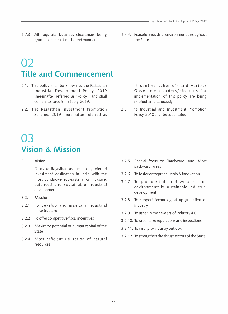- 1.7.3. All requisite business clearances being granted online in time bound manner.
- 1.7.4. Peaceful industrial environment throughout the State.

# 02 **Title and Commencement**

- 2.1. This policy shall be known as the Rajasthan Industrial Development Policy, 2019 (hereinafter referred as 'Policy') and shall come into force from 1 July, 2019.
- 2.2. The Rajasthan Investment Promotion Scheme, 2019 (hereinafter referred as

'incentive scheme') and various Government orders/circulars for implementation of this policy are being notified simultaneously.

2.3. The Industrial and Investment Promotion Policy-2010 shall be substituted

## 03 **Vision & Mission**

### 3.1. **Vision**

To make Rajasthan as the most preferred investment destination in India with the most conducive eco-system for inclusive, balanced and sustainable industrial development.

- 3.2. **Mission**
- 3.2.1. To develop and maintain industrial infrastructure
- 3.2.2. To offer competitive fiscal incentives
- 3.2.3. Maximize potential of human capital of the State
- 3.2.4. Most efficient utilization of natural resources
- 3.2.5. Special focus on 'Backward' and 'Most Backward' areas
- 3.2.6. To foster entrepreneurship & innovation
- 3.2.7. To promote industrial symbiosis and environmentally sustainable industrial development
- 3.2.8. To support technological up gradation of Industry
- 3.2.9. To usher in the new era of Industry 4.0
- 3.2.10. To rationalize regulations and inspections
- 3.2.11. To instil pro-industry outlook
- 3.2.12. To strengthen the thrust sectors of the State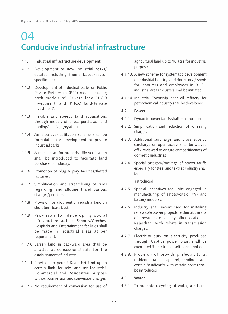# 04 **Conducive industrial infrastructure**

### 4.1. **Industrial infrastructure development**

- 4.1.1. Development of new industrial parks/ estates including theme based/sector specific parks.
- 4.1.2. Development of industrial parks on Public Private Partnership (PPP) mode including both models of 'Private land-RIICO investment' and 'RIICO land-Private investment'.
- 4.1.3. Flexible and speedy land acquisitions through models of direct purchase/ land pooling/ land aggregation.
- 4.1.4. An incentive/facilitation scheme shall be formulated for development of private industrial parks
- 4.1.5. A mechanism for property title verification shall be introduced to facilitate land purchase for industry.
- 4.1.6. Promotion of plug & play facilities/flatted factories.
- 4.1.7. Simplification and streamlining of rules regarding land allotment and various charges/penalties.
- 4.1.8. Provision for allotment of industrial land on short term lease basis.
- 4.1.9. Provision for developing social infrastructure such as Schools/Crèches, Hospitals and Entertainment facilities shall be made in industrial areas as per requirement.
- 4.1.10. Barren land in backward area shall be allotted at concessional rate for the establishment of industry.
- 4.1.11. Provision to permit Khatedari land up to certain limit for mix land use-Industrial, Commercial and Residential purpose without conversion and conversion charges
- 4.1.12. No requirement of conversion for use of

agricultural land up to 10 acre for industrial purposes.

- 4.1.13. A new scheme for systematic development of industrial housing and dormitory / sheds for labourers and employees in RIICO industrial areas / clusters shall be initiated
- 4.1.14. Industrial Township near oil refinery for petrochemical industry shall be developed.
- 4.2. **Power**
- 4.2.1. Dynamic power tariffs shall be introduced.
- 4.2.2. Simplification and reduction of wheeling charges.
- 4.2.3. Additional surcharge and cross subsidy surcharge on open access shall be waived off / reviewed to ensure competitiveness of domestic industries
- 4.2.4. Special category/package of power tariffs especially for steel and textiles industry shall  $h$  $\theta$

introduced

- 4.2.5. Special incentives for units engaged in manufacturing of Photovoltaic (PV) and battery modules.
- 4.2.6. Industry shall incentivised for installing renewable power projects, either at the site of operations or at any other location in Rajasthan, with rebate in transmission charges.
- 4.2.7. Electricity duty on electricity produced through Captive power plant shall be exempted till the limit of self-consumption.
- 4.2.8. Provision of providing electricity at residential rate to apparel, handloom and certain handicrafts with certain norms shall be introduced
- 4.3. **Water**
- 4.3.1. To promote recycling of water, a scheme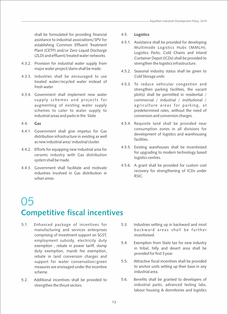shall be formulated for providing financial assistance to industrial associations/SPV for establishing Common Effluent Treatment Plant (CETP) and/or Zero Liquid Discharge (ZLD) and effluent/treated water networks.

- 4.3.2. Provision for industrial water supply from major water project/dams shall be made.
- 4.3.3. Industries shall be encouraged to use treated water/recycled water instead of fresh water
- 4.3.4. Government shall implement new water supply schemes and projects for augmenting of existing water supply schemes to cater to water supply to industrial areas and parks in the State

### 4.4. **Gas**

- 4.4.1. Government shall give impetus for Gas distribution infrastructure in existing as well as new industrial area/ industrial cluster.
- 4.4.2. Efforts for equipping new Industrial area for ceramic industry with Gas distribution system shall be made.
- 4.4.3. Government shall facilitate and motivate industries involved in Gas distribution in urban areas.

### 4.5. **Logistics**

- 4.5.1. Assistance shall be provided for developing Multimode Logistics Hubs (MMLH), Logistics Parks, Cold Chains and Inland Container Depot (ICDs) shall be provided to strengthen the logistics infrastructure.
- 4.5.2. Seasonal industry status shall be given to Cold Storage units
- 4.5.3. To reduce vehicular congestion and strengthen parking facilities, the vacant plot(s) shall be permitted in residential / commercial / industrial / institutional / agriculture areas for parking, at predetermined rates, without the need of conversion and conversion charges.
- 4.5.4. Requisite land shall be provided near consumption zones in all divisions for development of logistics and warehousing facilities.
- 4.5.5. Existing warehouses shall be incentivized for upgrading to modern technology based logistics centres.
- 4.5.6. A grant shall be provided for custom cost recovery for strengthening of ICDs under RSIC.

# 05 **Competitive fiscal incentives**

- 5.1. Enhanced package of incentives for manufacturing and services enterprises comprising of investment support on SGST, employment subsidy, electricity duty exemption , rebate in power tariff, stamp duty exemption, mandi fee exemption, rebate in land conversion charges and support for water conservation/green measures are envisaged under the incentive scheme.
- 5.2. Additional incentives shall be provided to strengthen the thrust sectors.
- 5.3. Industries setting up in backward and most backward areas shall be further incentivised.
- 5.4. Exemption from State tax for new industry in tribal, hilly and desert area shall be provided for first 3 year.
- 5.5. Attractive fiscal incentives shall be provided to anchor units setting up their base in any industrial area.
- 5.6. Benefits shall be granted to developers of industrial parks, advanced testing labs, labour housing & dormitories and logistics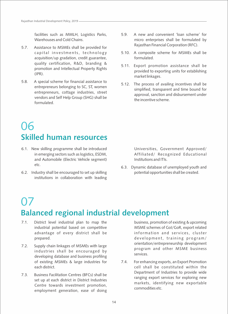facilities such as MMLH, Logistics Parks, Warehouses and Cold Chains.

- 5.7. Assistance to MSMEs shall be provided for capital investments, technology acquisition/up gradation, credit guarantee, quality certification, R&D, branding & promotion and Intellectual Property Rights (IPR).
- 5.8. A special scheme for financial assistance to entrepreneurs belonging to SC, ST, women entrepreneurs, cottage industries, street vendors and Self Help Group (SHG) shall be formulated.
- 5.9. A new and convenient 'loan scheme' for micro enterprises shall be formulated by Rajasthan Financial Corporation (RFC).
- 5.10. A composite scheme for MSMEs shall be formulated.
- 5.11. Export promotion assistance shall be provided to exporting units for establishing market linkages.
- 5.12. The process of availing incentives shall be simplified, transparent and time bound for approval, sanction and disbursement under the incentive scheme.

# 06 **Skilled human resources**

- 6.1. New skilling programme shall be introduced in emerging sectors such as logistics, ESDM, and Automobile (Electric Vehicle segment) etc.
- 6.2. Industry shall be encouraged to set up skilling institutions in collaboration with leading

Universities, Government Approved/ Affiliated/ Recognized Educational Institutions and ITIs.

6.3. Dynamic database of unemployed youth and potential opportunities shall be created.

## 07 **Balanced regional industrial development**

- 7.1. District level industrial plan to map the industrial potential based on competitive advantage of every district shall be prepared.
- 7.2. Supply chain linkages of MSMEs with large industries shall be encouraged by developing database and business profiling of existing MSMEs & large industries for each district.
- 7.3. Business Facilitation Centres (BFCs) shall be set up at each district in District Industries Centre towards investment promotion, employment generation, ease of doing

business, promotion of existing & upcoming MSME schemes of GoI/GoR, export related information and services, cluster development, training program/ orientation/entrepreneurship development program and other MSME business services.

7.4. For enhancing exports, an Export Promotion cell shall be constituted within the Department of Industries to provide wide ranging export services for exploring new markets, identifying new exportable commodities etc.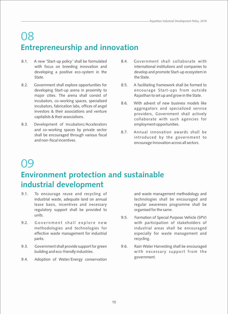# 08 **Entrepreneurship and innovation**

- 8.1. A new 'Start-up policy' shall be formulated with focus on breeding innovation and developing a positive eco-system in the State.
- 8.2. Government shall explore opportunities for developing Start-up arena in proximity to major cities. The arena shall consist of incubators, co-working spaces, specialized incubators, fabrication labs, offices of angel investors & their associations and venture capitalists & their associations.
- 8.3. Development of Incubators/Accelerators and co-working spaces by private sector shall be encouraged through various fiscal and non-fiscal incentives.
- 8.4. Government shall collaborate with international institutions and companies to develop and promote Start-up ecosystem in the State.
- 8.5. A facilitating framework shall be formed to encourage Start-ups from outside Rajasthan to set up and grow in the State.
- 8.6. With advent of new business models like aggregators and specialized service providers, Government shall actively collaborate with such agencies for employment opportunities.
- 8.7. Annual innovation awards shall be introduced by the government to encourage Innovation across all sectors.

# 09

### **Environment protection and sustainable industrial development**

- 9.1. To encourage reuse and recycling of industrial waste, adequate land on annual lease basis, incentives and necessary regulatory support shall be provided to units.
- 9.2. Government shall explore new methodologies and technologies for effective waste management for industrial parks.
- 9.3. Government shall provide support for green building and eco-friendly industries.
- 9.4. Adoption of Water/Energy conservation

and waste management methodology and technologies shall be encouraged and regular awareness programme shall be organised for the same.

- 9.5. Formation of Special Purpose Vehicle (SPV) with participation of stakeholders of industrial areas shall be encouraged especially for waste management and recycling.
- 9.6. Rain Water Harvesting shall be encouraged with necessary support from the government.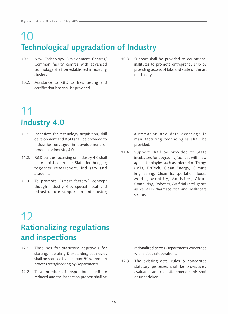# 10 **Technological upgradation of Industry**

- 10.1. New Technology Development Centres/ Common facility centres with advanced technology shall be established in existing clusters.
- 10.2. Assistance to R&D centres, testing and certification labs shall be provided.
- 10.3. Support shall be provided to educational institutes to promote entrepreneurship by providing access of labs and state of the art machinery.

## 11 **Industry 4.0**

- 11.1. Incentives for technology acquisition, skill development and R&D shall be provided to industries engaged in development of product for Industry 4.0.
- 11.2. R&D centres focussing on Industry 4.0 shall be established in the State for bringing together researchers, industry and academia.
- 11.3. To promote "smart factory" concept though Industry 4.0, special fiscal and infrastructure support to units using

automation and data exchange in manufacturing technologies shall be provided.

11.4. Support shall be provided to State incubators for upgrading facilities with new age technologies such as Internet of Things (IoT), FinTech, Clean Energy, Climate Engineering, Clean Transportation, Social Media, Mobility, Analytics, Cloud Computing, Robotics, Artificial Intelligence as well as in Pharmaceutical and Healthcare sectors.

## 12 **Rationalizing regulations and inspections**

- 12.1. Timelines for statutory approvals for starting, operating & expanding businesses shall be reduced by minimum 50% through process reengineering by Departments.
- 12.2. Total number of inspections shall be reduced and the inspection process shall be

rationalized across Departments concerned with industrial operations.

12.3. The existing acts, rules & concerned statutory processes shall be pro-actively evaluated and requisite amendments shall be undertaken.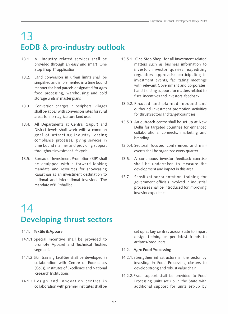# 13 **EoDB & pro-industry outlook**

- 13.1. All industry related services shall be provided through an easy and smart 'One Stop Shop' IT application
- 13.2. Land conversion in urban limits shall be simplified and implemented in a time bound manner for land parcels designated for agro food processing, warehousing and cold storage units in master plans
- 13.3. Conversion charges in peripheral villages shall be at par with conversion rates for rural areas for non-agriculture land use.
- 13.4. All Departments at Central (Jaipur) and District levels shall work with a common goal of attracting industry, easing compliance processes, giving services in time bound manner and providing support throughout investment life cycle.
- 13.5. Bureau of Investment Promotion (BIP) shall be equipped with a forward looking mandate and resources for showcasing Rajasthan as an investment destination to national and international investors. The mandate of BIP shall be:
- 13.5.1. 'One Stop Shop' for all investment related matters such as business information to investor, investor queries, expediting regulatory approvals; participating in investment events, facilitating meetings with relevant Government and corporates, hand-holding support for matters related to fiscal incentives and investors' feedback.
- 13.5.2. Focused and planned inbound and outbound investment promotion activities for thrust sectors and target countries.
- 13.5.3. An outreach centre shall be set up at New Delhi for targeted countries for enhanced collaborations, connects, marketing and branding.
- 13.5.4. Sectoral focused conferences and mini events shall be organized every quarter.
- 13.6. A continuous investor feedback exercise shall be undertaken to measure the development and impact in this area.
- 13.7. Sensitization/orientation training for government officials involved in industrial processes shall be introduced for improving investor experience.

# 14 **Developing thrust sectors**

### 14.1. **Textile & Apparel**

- 14.1.1. Special incentive shall be provided to promote Apparel and Technical Textiles segment.
- 14.1.2. Skill training facilities shall be developed in collaboration with Centre of Excellences (CoEs), Institutes of Excellence and National Research Institutions.
- 14.1.3. Design and innovation centres in collaboration with premier institutes shall be

set up at key centres across State to impart design training as per latest trends to artisans/producers.

### 14.2. **Agro Food Processing**

- 14.2.1. Strengthen infrastructure in the sector by investing in Food Processing clusters to develop strong and robust value chain.
- 14.2.2. Fiscal support shall be provided to Food Processing units set up in the State with additional support for units set-up by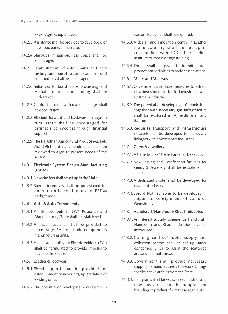FPOs/Agro Cooperatives.

- 14.2.3. Assistance shall be provided to developers of new food parks in the State.
- 14.2.4. Start-ups in agri-business space shall be encouraged.
- 14.2.5. Establishment of cold chains and new testing and certification labs for food commodities shall be encouraged.
- 14.2.6. Initiatives to boost Spice processing and Herbal product manufacturing shall be undertaken.
- 14.2.7. Contract farming with market linkages shall be encouraged.
- 14.2.8. Efficient forward and backward linkages in rural areas shall be encouraged for perishable commodities through financial support.
- 14.2.9. The Rajasthan Agricultural Produce Markets Act 1961 and its amendments shall be reviewed to align to present needs of the sector
- 14.3. **Electronic System Design Manufacturing (ESDM)**
- 14.3.1. New clusters shall be set up in the State.
- 14.3.2. Special incentives shall be provisioned for anchor units setting up in ESDM parks/zones.

### 14.4. **Auto & Auto Components**

- 14.4.1. An Electric Vehicle (EV) Research and Manufacturing Zone shall be established.
- 14.4.2. Financial assistance shall be provided to encourage EV and their components manufacturing units.
- 14.4.3. A dedicated policy for Electric Vehicles (EVs) shall be formulated to provide impetus to develop this sector.
- 14.5. Leather & Footwear
- 14.5.1. Fiscal support shall be provided for establishment of new units/up gradation of existing units.
- 14.5.2. The potential of developing new clusters in

eastern Rajasthan shall be explored.

- 14.5.3. A design and innovation centre in Leather manufacturing shall be set up in collaboration with FDDI/other leading institute to impart design training.
- 14.5.4. Thrust shall be given to branding and promotional activities to sector associations.

### 14.6. **Mines and Minerals**

- 14.6.1. Government shall take measures to attract new investment in both downstream and upstream industries.
- 14.6.2. The potential of developing a Ceramic hub together with necessary gas infrastructure shall be explored in Ajmer,Bikaner and Barmer.
- 14.6.3. Requisite transport and infrastructure network shall be developed for necessary linkages with downstream industries.

### 14.7. **Gems & Jewellery**

- 14.7.1. A Gems Bourse/ Gems Park shall be set up.
- 14.7.2. New Testing and Certification facilities for Gems & Jewellery shall be established in Jaipur.
- 14.7.3. A dedicated cluster shall be developed for diamond industry.
- 14.7.4. Special Notified Zone to be developed in Jaipur for consignment of coloured Gemstones.

### 14.8. **Handicraft/Handloom/Khadi Industries**

- 14.8.1. An interest subsidy scheme for Handicraft, Handloom and Khadi industries shall be introduced.
- 14.8.2. Training centres/mobile supply and collection centres shall be set up under concerned DICs to assist the scattered artisans in remote areas
- 14.8.3. Government shall provide necessary support to manufacturers to secure GI tags for distinctive articles from the State.
- 14.8.4. Shilpgrams shall be setup in each district and new measures shall be adopted for branding of products from these segments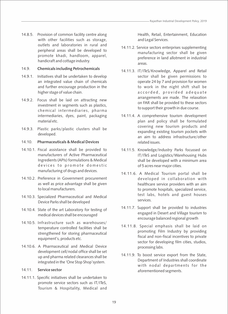14.8.5. Provision of common facility centre along with other facilities such as storage, outlets and laboratories in rural and peripheral areas shall be developed to promote khadi, handloom, apparel, handicraft and cottage industry.

### 14.9. **Chemicals including Petrochemicals**

- 14.9.1. Initiatives shall be undertaken to develop an integrated value chain of chemicals and further encourage production in the higher stage of value chain.
- 14.9.2. Focus shall be laid on attracting new investment in segments such as plastics, chemical intermediaries, pharma intermediaries, dyes, paint, packaging material etc.
- 14.9.3. Plastic parks/plastic clusters shall be developed.

### 14.10. **Pharmaceuticals & Medical Devices**

- 14.10.1. Fiscal assistance shall be provided to manufacturers of Active Pharmaceutical Ingredients (APIs) formulations & Medical devices to promote domestic manufacturing of drugs and devices.
- 14.10.2. Preference in Government procurement as well as price advantage shall be given to local manufacturers.
- 14.10.3. Specialized Pharmaceutical and Medical Device Parks shall be developed
- 14.10.4. State of the art Laboratory for testing of medical devices shall be encouraged
- 14.10.5. Infrastructure such as warehouses/ temperature controlled facilities shall be strengthened for storing pharmaceutical equipment's, products etc.
- 14.10.6. A Pharmaceutical and Medical Device development cell/nodal office shall be set up and pharma related clearances shall be integrated in the 'One Stop Shop'system.

### 14.11. **Service sector**

14.11.1. Specific initiatives shall be undertaken to promote service sectors such as IT/ITeS, Tourism & Hospitality, Medical and

Health, Retail, Entertainment, Education and Legal Services.

- 14.11.2. Service sectors enterprises supplementing manufacturing sector shall be given preference in land allotment in industrial areas.
- 14.11.3. IT/ITeS/Knowledge, Apparel and Retail sector shall be given permissions to operate 24 by 7 and provision for women to work in the night shift shall be accorded, provided adequate arrangements are made. The relaxation on FAR shall be provided to these sectors to support their growth in due course.
- 14.11.4. A comprehensive tourism development plan and policy shall be formulated covering new tourism products and expanding existing tourism pockets with an aim to address infrastructure/other related issues.
- 14.11.5. Knowledge/Industry Parks focussed on IT/ITeS and Logistics/Warehousing Hubs shall be developed with a minimum area of 5 acres near major cities.
- 14.11.6. A Medical Tourism portal shall be developed in collaboration with healthcare service providers with an aim to promote hospitals, specialized service, test labs, hotels and guest houses services.
- 14.11.7. Support shall be provided to industries engaged in Desert and Village tourism to encourage balanced regional growth
- 14.11.8. Special emphasis shall be laid on promoting Film Industry by providing fiscal and non-fiscal incentives to private sector for developing film cities, studios, processing labs.
- 14.11.9. To boost service export from the State, Department of Industries shall coordinate with nodal departments for the aforementioned segments.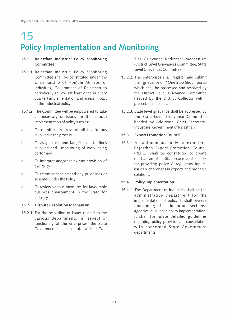# 15 **Policy Implementation and Monitoring**

### 15.1. **Rajasthan Industrial Policy Monitoring Committee**

- 15.1.1. Rajasthan Industrial Policy Monitoring Committee shall be constituted under the Chairmanship of Hon'ble Minister of Industries, Government of Rajasthan to periodically review (at least once in every quarter) implementation and assess impact of the industrial policy.
- 15.1.2. The Committee will be empowered to take all necessary decisions for the smooth implementation of policy such as:
- a. To monitor progress of all institutions involved in the process
- b. To assign roles and targets to institutions involved and monitoring of work being performed
- c. To interpret and/or relax any provision of the Policy
- d. To frame and/or amend any guidelines or schemes under the Policy
- e. To review various measures for favourable business environment in the State for industry

### 15.2. **Dispute Resolution Mechanism**

15.2.1. For the resolution of issues related to the various departments in respect of functioning of the enterprises, the State Government shall constitute at least TwoTier Grievance Redressal Mechanism (District Level Grievances Committee, State Level Grievances Committee)

- 15.2.2. The enterprises shall register and submit their grievance on "One Stop Shop" portal which shall be processed and resolved by the District Level Grievance Committee headed by the District Collector within prescribed timelines.
- 15.2.3. State level grievance shall be addressed by the State Level Grievance Committee headed by Additional Chief Secretary-Industries, Government of Rajasthan.

### 15.3. **Export Promotion Council**

15.3.1. An autonomous body of exporters, Rajasthan Export Promotion Council (REPC), shall be constituted to create mechanism of facilitation across all sectors for providing policy & regulatory inputs, issues & challenges in exports and probable solutions.

### 15.4 **Policy Implementation**

15.4.1 The Department of Industries shall be the administrative Department for the implementation of policy. It shall oversee functioning of all important sections/ agencies involved in policy implementation. It shall formulate detailed guidelines regarding policy provisions in consultation with concerned State Government departments.